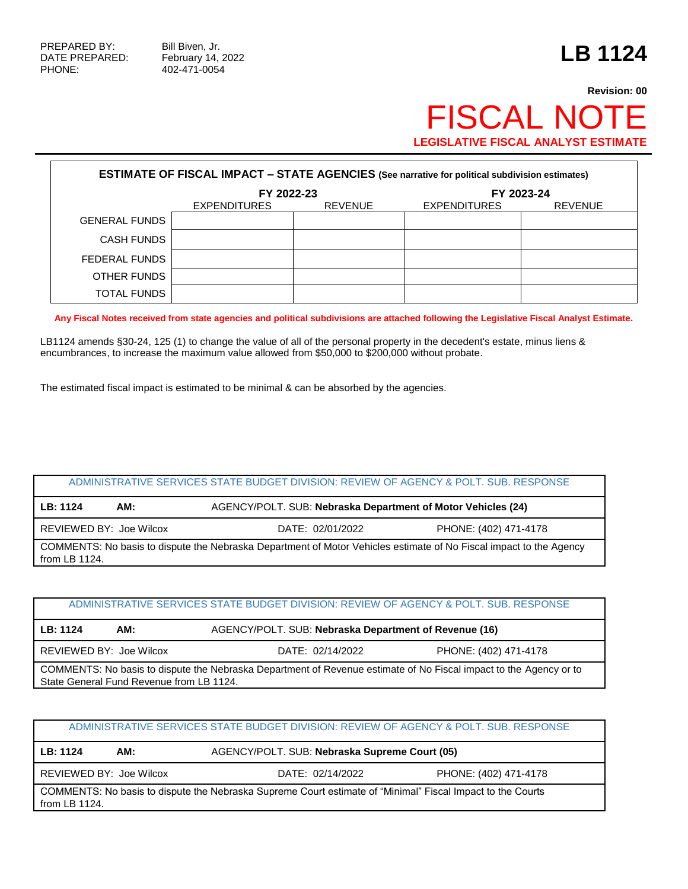PHONE: 402-471-0054

# **Revision: 00** FISCAL NOTE **LEGISLATIVE FISCAL ANALYST ESTIMATE**

| <b>ESTIMATE OF FISCAL IMPACT - STATE AGENCIES (See narrative for political subdivision estimates)</b> |                     |                |              |                |  |  |  |
|-------------------------------------------------------------------------------------------------------|---------------------|----------------|--------------|----------------|--|--|--|
|                                                                                                       | FY 2022-23          | FY 2023-24     |              |                |  |  |  |
|                                                                                                       | <b>EXPENDITURES</b> | <b>REVENUE</b> | EXPENDITURES | <b>REVENUE</b> |  |  |  |
| <b>GENERAL FUNDS</b>                                                                                  |                     |                |              |                |  |  |  |
| <b>CASH FUNDS</b>                                                                                     |                     |                |              |                |  |  |  |
| FEDERAL FUNDS                                                                                         |                     |                |              |                |  |  |  |
| OTHER FUNDS                                                                                           |                     |                |              |                |  |  |  |
| <b>TOTAL FUNDS</b>                                                                                    |                     |                |              |                |  |  |  |

**Any Fiscal Notes received from state agencies and political subdivisions are attached following the Legislative Fiscal Analyst Estimate.**

LB1124 amends §30-24, 125 (1) to change the value of all of the personal property in the decedent's estate, minus liens & encumbrances, to increase the maximum value allowed from \$50,000 to \$200,000 without probate.

The estimated fiscal impact is estimated to be minimal & can be absorbed by the agencies.

| ADMINISTRATIVE SERVICES STATE BUDGET DIVISION: REVIEW OF AGENCY & POLT. SUB. RESPONSE                                               |     |                                                              |  |  |  |  |
|-------------------------------------------------------------------------------------------------------------------------------------|-----|--------------------------------------------------------------|--|--|--|--|
| LB: 1124                                                                                                                            | AM: | AGENCY/POLT. SUB: Nebraska Department of Motor Vehicles (24) |  |  |  |  |
| REVIEWED BY: Joe Wilcox<br>PHONE: (402) 471-4178<br>DATE: 02/01/2022                                                                |     |                                                              |  |  |  |  |
| COMMENTS: No basis to dispute the Nebraska Department of Motor Vehicles estimate of No Fiscal impact to the Agency<br>from LB 1124. |     |                                                              |  |  |  |  |

| ADMINISTRATIVE SERVICES STATE BUDGET DIVISION: REVIEW OF AGENCY & POLT, SUB, RESPONSE                             |                         |                                                       |                       |  |  |  |  |
|-------------------------------------------------------------------------------------------------------------------|-------------------------|-------------------------------------------------------|-----------------------|--|--|--|--|
| LB: 1124                                                                                                          | AM:                     | AGENCY/POLT. SUB: Nebraska Department of Revenue (16) |                       |  |  |  |  |
|                                                                                                                   | REVIEWED BY: Joe Wilcox | DATE: 02/14/2022                                      | PHONE: (402) 471-4178 |  |  |  |  |
| COMMENTS: No basis to dispute the Nebraska Department of Revenue estimate of No Fiscal impact to the Agency or to |                         |                                                       |                       |  |  |  |  |
| State General Fund Revenue from LB 1124.                                                                          |                         |                                                       |                       |  |  |  |  |

ADMINISTRATIVE SERVICES STATE BUDGET DIVISION: REVIEW OF AGENCY & POLT. SUB. RESPONSE

**LB: 1124 AM:** AGENCY/POLT. SUB: **Nebraska Supreme Court (05)**

REVIEWED BY: Joe Wilcox DATE: 02/14/2022 PHONE: (402) 471-4178

COMMENTS: No basis to dispute the Nebraska Supreme Court estimate of "Minimal" Fiscal Impact to the Courts from LB 1124.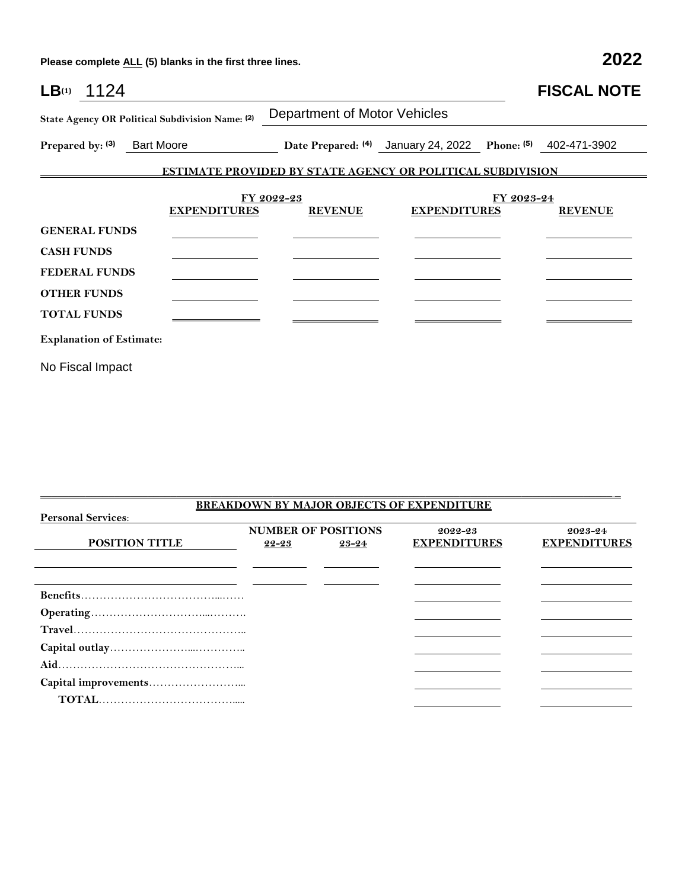**Please complete ALL (5) blanks in the first three lines. 2022**

| LB <sub>(1)</sub> 1124                          |                     |                                                                   |                                                             |            | <b>FISCAL NOTE</b> |
|-------------------------------------------------|---------------------|-------------------------------------------------------------------|-------------------------------------------------------------|------------|--------------------|
| State Agency OR Political Subdivision Name: (2) |                     | <b>Department of Motor Vehicles</b>                               |                                                             |            |                    |
| Prepared by: (3) Bart Moore                     |                     |                                                                   | Date Prepared: (4) January 24, 2022 Phone: (5) 402-471-3902 |            |                    |
|                                                 |                     | <b>ESTIMATE PROVIDED BY STATE AGENCY OR POLITICAL SUBDIVISION</b> |                                                             |            |                    |
|                                                 | <b>EXPENDITURES</b> | FY 2022-23<br><b>REVENUE</b>                                      | <b>EXPENDITURES</b>                                         | FY 2023-24 | <b>REVENUE</b>     |
| <b>GENERAL FUNDS</b>                            |                     |                                                                   |                                                             |            |                    |
| <b>CASH FUNDS</b>                               |                     |                                                                   |                                                             |            |                    |
| <b>FEDERAL FUNDS</b>                            |                     |                                                                   |                                                             |            |                    |
| <b>OTHER FUNDS</b>                              |                     |                                                                   |                                                             |            |                    |
| <b>TOTAL FUNDS</b>                              |                     |                                                                   |                                                             |            |                    |
| <b>Explanation of Estimate:</b>                 |                     |                                                                   |                                                             |            |                    |
| No Fiscal Impact                                |                     |                                                                   |                                                             |            |                    |

|                           |       |                            | <b>BREAKDOWN BY MAJOR OBJECTS OF EXPENDITURE</b> |                     |
|---------------------------|-------|----------------------------|--------------------------------------------------|---------------------|
| <b>Personal Services:</b> |       |                            |                                                  |                     |
|                           |       | <b>NUMBER OF POSITIONS</b> | 2022-23                                          | 2023-24             |
| <b>POSITION TITLE</b>     | 22-23 | $23 - 24$                  | <b>EXPENDITURES</b>                              | <b>EXPENDITURES</b> |
|                           |       |                            |                                                  |                     |
|                           |       |                            |                                                  |                     |
|                           |       |                            |                                                  |                     |
|                           |       |                            |                                                  |                     |
|                           |       |                            |                                                  |                     |
|                           |       |                            |                                                  |                     |
|                           |       |                            |                                                  |                     |
|                           |       |                            |                                                  |                     |
|                           |       |                            |                                                  |                     |
|                           |       |                            |                                                  |                     |
|                           |       |                            |                                                  |                     |

 $\mathcal{L}_\mathcal{L} = \{ \mathcal{L}_\mathcal{L} = \{ \mathcal{L}_\mathcal{L} = \{ \mathcal{L}_\mathcal{L} = \{ \mathcal{L}_\mathcal{L} = \{ \mathcal{L}_\mathcal{L} = \{ \mathcal{L}_\mathcal{L} = \{ \mathcal{L}_\mathcal{L} = \{ \mathcal{L}_\mathcal{L} = \{ \mathcal{L}_\mathcal{L} = \{ \mathcal{L}_\mathcal{L} = \{ \mathcal{L}_\mathcal{L} = \{ \mathcal{L}_\mathcal{L} = \{ \mathcal{L}_\mathcal{L} = \{ \mathcal{L}_\mathcal{$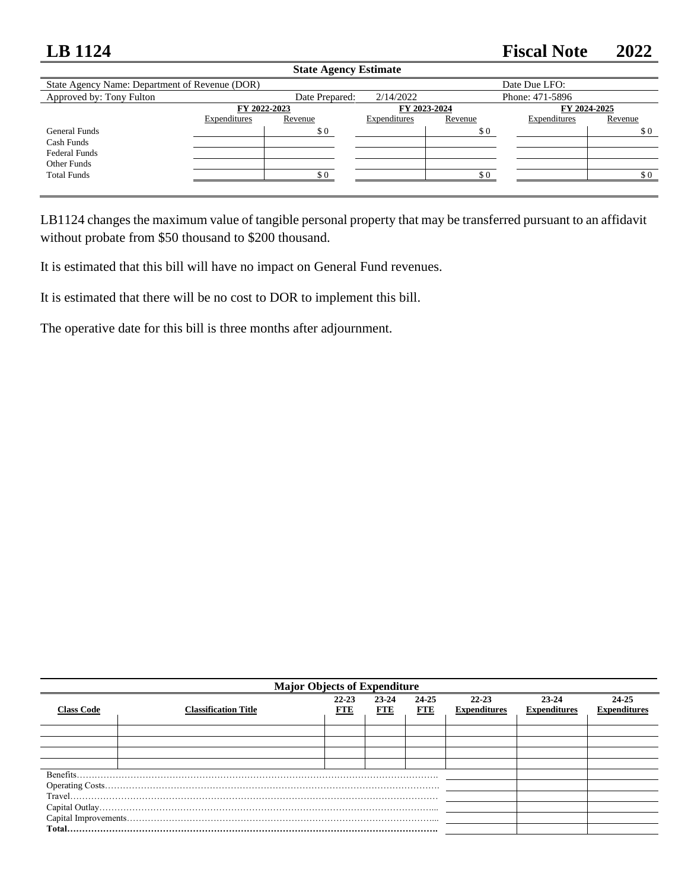## **LB 1124 Fiscal Note 2022**

| <b>State Agency Estimate</b>                   |                                              |                |              |         |                 |         |  |
|------------------------------------------------|----------------------------------------------|----------------|--------------|---------|-----------------|---------|--|
| State Agency Name: Department of Revenue (DOR) |                                              |                |              |         | Date Due LFO:   |         |  |
| Approved by: Tony Fulton                       |                                              | Date Prepared: | 2/14/2022    |         | Phone: 471-5896 |         |  |
|                                                | FY 2022-2023<br>FY 2023-2024<br>FY 2024-2025 |                |              |         |                 |         |  |
|                                                | Expenditures                                 | Revenue        | Expenditures | Revenue | Expenditures    | Revenue |  |
| General Funds                                  |                                              | \$0            |              | \$0     |                 | \$0     |  |
| Cash Funds                                     |                                              |                |              |         |                 |         |  |
| <b>Federal Funds</b>                           |                                              |                |              |         |                 |         |  |
| Other Funds                                    |                                              |                |              |         |                 |         |  |
| <b>Total Funds</b>                             |                                              | \$0            |              | \$0     |                 | \$0     |  |
|                                                |                                              |                |              |         |                 |         |  |

LB1124 changes the maximum value of tangible personal property that may be transferred pursuant to an affidavit without probate from \$50 thousand to \$200 thousand.

It is estimated that this bill will have no impact on General Fund revenues.

It is estimated that there will be no cost to DOR to implement this bill.

The operative date for this bill is three months after adjournment.

| <b>Major Objects of Expenditure</b> |                             |                     |              |                     |                                  |                              |                              |  |
|-------------------------------------|-----------------------------|---------------------|--------------|---------------------|----------------------------------|------------------------------|------------------------------|--|
| <b>Class Code</b>                   | <b>Classification Title</b> | 22-23<br><b>FTE</b> | 23-24<br>FTE | 24-25<br><b>FTE</b> | $22 - 23$<br><b>Expenditures</b> | 23-24<br><b>Expenditures</b> | 24-25<br><b>Expenditures</b> |  |
|                                     |                             |                     |              |                     |                                  |                              |                              |  |
|                                     |                             |                     |              |                     |                                  |                              |                              |  |
|                                     |                             |                     |              |                     |                                  |                              |                              |  |
|                                     |                             |                     |              |                     |                                  |                              |                              |  |
|                                     |                             |                     |              |                     |                                  |                              |                              |  |
|                                     |                             |                     |              |                     |                                  |                              |                              |  |
|                                     |                             |                     |              |                     |                                  |                              |                              |  |
|                                     |                             |                     |              |                     |                                  |                              |                              |  |
|                                     |                             |                     |              |                     |                                  |                              |                              |  |
|                                     |                             |                     |              |                     |                                  |                              |                              |  |